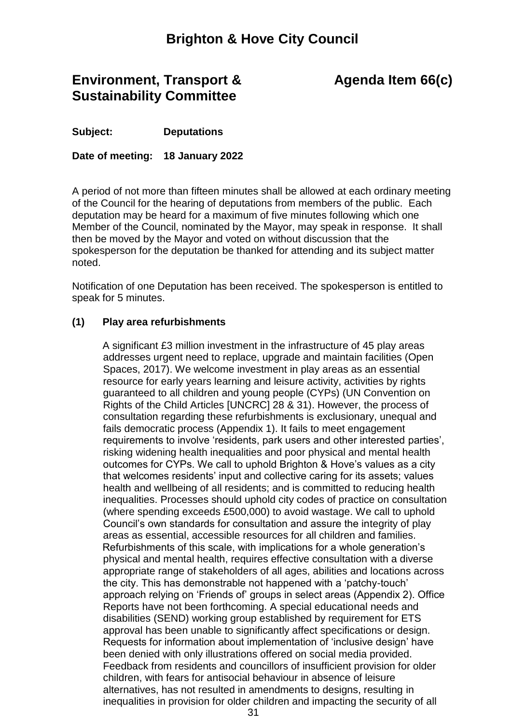## **Brighton & Hove City Council**

## **Environment, Transport & Sustainability Committee**

# **Agenda Item 66(c)**

**Subject: Deputations**

**Date of meeting: 18 January 2022**

A period of not more than fifteen minutes shall be allowed at each ordinary meeting of the Council for the hearing of deputations from members of the public. Each deputation may be heard for a maximum of five minutes following which one Member of the Council, nominated by the Mayor, may speak in response. It shall then be moved by the Mayor and voted on without discussion that the spokesperson for the deputation be thanked for attending and its subject matter noted.

Notification of one Deputation has been received. The spokesperson is entitled to speak for 5 minutes.

### **(1) Play area refurbishments**

A significant £3 million investment in the infrastructure of 45 play areas addresses urgent need to replace, upgrade and maintain facilities (Open Spaces, 2017). We welcome investment in play areas as an essential resource for early years learning and leisure activity, activities by rights guaranteed to all children and young people (CYPs) (UN Convention on Rights of the Child Articles [UNCRC] 28 & 31). However, the process of consultation regarding these refurbishments is exclusionary, unequal and fails democratic process (Appendix 1). It fails to meet engagement requirements to involve 'residents, park users and other interested parties', risking widening health inequalities and poor physical and mental health outcomes for CYPs. We call to uphold Brighton & Hove's values as a city that welcomes residents' input and collective caring for its assets; values health and wellbeing of all residents; and is committed to reducing health inequalities. Processes should uphold city codes of practice on consultation (where spending exceeds £500,000) to avoid wastage. We call to uphold Council's own standards for consultation and assure the integrity of play areas as essential, accessible resources for all children and families. Refurbishments of this scale, with implications for a whole generation's physical and mental health, requires effective consultation with a diverse appropriate range of stakeholders of all ages, abilities and locations across the city. This has demonstrable not happened with a 'patchy-touch' approach relying on 'Friends of' groups in select areas (Appendix 2). Office Reports have not been forthcoming. A special educational needs and disabilities (SEND) working group established by requirement for ETS approval has been unable to significantly affect specifications or design. Requests for information about implementation of 'inclusive design' have been denied with only illustrations offered on social media provided. Feedback from residents and councillors of insufficient provision for older children, with fears for antisocial behaviour in absence of leisure alternatives, has not resulted in amendments to designs, resulting in inequalities in provision for older children and impacting the security of all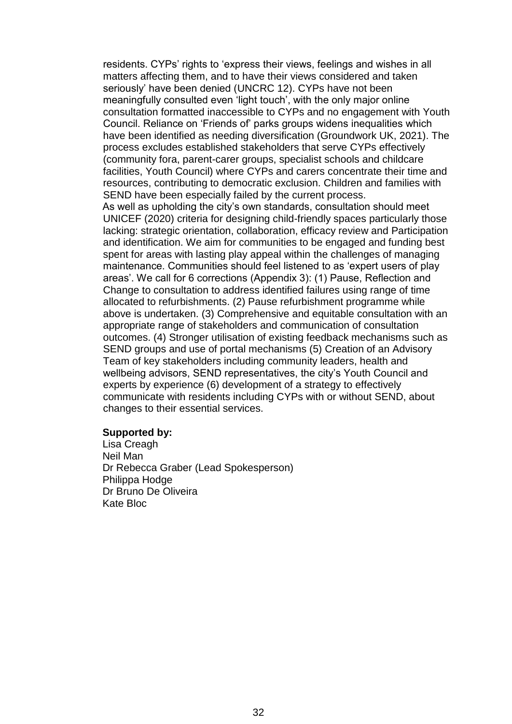residents. CYPs' rights to 'express their views, feelings and wishes in all matters affecting them, and to have their views considered and taken seriously' have been denied (UNCRC 12). CYPs have not been meaningfully consulted even 'light touch', with the only major online consultation formatted inaccessible to CYPs and no engagement with Youth Council. Reliance on 'Friends of' parks groups widens inequalities which have been identified as needing diversification (Groundwork UK, 2021). The process excludes established stakeholders that serve CYPs effectively (community fora, parent-carer groups, specialist schools and childcare facilities, Youth Council) where CYPs and carers concentrate their time and resources, contributing to democratic exclusion. Children and families with SEND have been especially failed by the current process. As well as upholding the city's own standards, consultation should meet UNICEF (2020) criteria for designing child-friendly spaces particularly those lacking: strategic orientation, collaboration, efficacy review and Participation and identification. We aim for communities to be engaged and funding best spent for areas with lasting play appeal within the challenges of managing maintenance. Communities should feel listened to as 'expert users of play areas'. We call for 6 corrections (Appendix 3): (1) Pause, Reflection and Change to consultation to address identified failures using range of time allocated to refurbishments. (2) Pause refurbishment programme while above is undertaken. (3) Comprehensive and equitable consultation with an appropriate range of stakeholders and communication of consultation outcomes. (4) Stronger utilisation of existing feedback mechanisms such as SEND groups and use of portal mechanisms (5) Creation of an Advisory Team of key stakeholders including community leaders, health and wellbeing advisors, SEND representatives, the city's Youth Council and experts by experience (6) development of a strategy to effectively communicate with residents including CYPs with or without SEND, about changes to their essential services.

#### **Supported by:**

Lisa Creagh Neil Man Dr Rebecca Graber (Lead Spokesperson) Philippa Hodge Dr Bruno De Oliveira Kate Bloc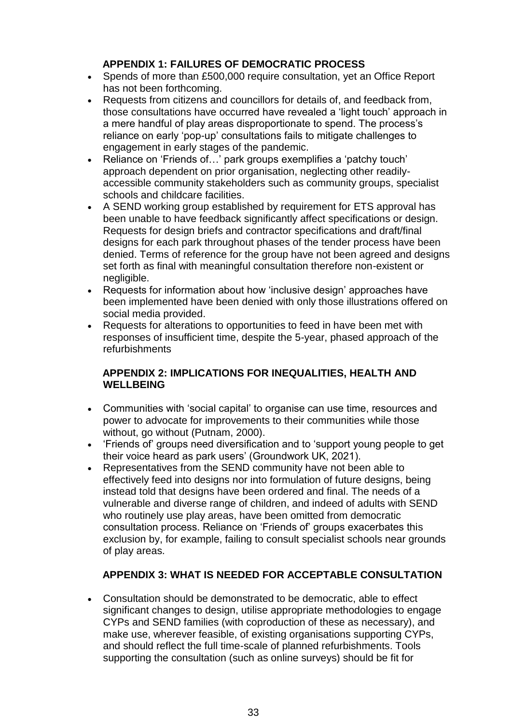## **APPENDIX 1: FAILURES OF DEMOCRATIC PROCESS**

- Spends of more than £500,000 require consultation, yet an Office Report has not been forthcoming.
- Requests from citizens and councillors for details of, and feedback from, those consultations have occurred have revealed a 'light touch' approach in a mere handful of play areas disproportionate to spend. The process's reliance on early 'pop-up' consultations fails to mitigate challenges to engagement in early stages of the pandemic.
- Reliance on 'Friends of…' park groups exemplifies a 'patchy touch' approach dependent on prior organisation, neglecting other readilyaccessible community stakeholders such as community groups, specialist schools and childcare facilities.
- A SEND working group established by requirement for ETS approval has been unable to have feedback significantly affect specifications or design. Requests for design briefs and contractor specifications and draft/final designs for each park throughout phases of the tender process have been denied. Terms of reference for the group have not been agreed and designs set forth as final with meaningful consultation therefore non-existent or negligible.
- Requests for information about how 'inclusive design' approaches have been implemented have been denied with only those illustrations offered on social media provided.
- Requests for alterations to opportunities to feed in have been met with responses of insufficient time, despite the 5-year, phased approach of the refurbishments

## **APPENDIX 2: IMPLICATIONS FOR INEQUALITIES, HEALTH AND WELLBEING**

- Communities with 'social capital' to organise can use time, resources and power to advocate for improvements to their communities while those without, go without (Putnam, 2000).
- 'Friends of' groups need diversification and to 'support young people to get their voice heard as park users' (Groundwork UK, 2021).
- Representatives from the SEND community have not been able to effectively feed into designs nor into formulation of future designs, being instead told that designs have been ordered and final. The needs of a vulnerable and diverse range of children, and indeed of adults with SEND who routinely use play areas, have been omitted from democratic consultation process. Reliance on 'Friends of' groups exacerbates this exclusion by, for example, failing to consult specialist schools near grounds of play areas.

## **APPENDIX 3: WHAT IS NEEDED FOR ACCEPTABLE CONSULTATION**

 Consultation should be demonstrated to be democratic, able to effect significant changes to design, utilise appropriate methodologies to engage CYPs and SEND families (with coproduction of these as necessary), and make use, wherever feasible, of existing organisations supporting CYPs, and should reflect the full time-scale of planned refurbishments. Tools supporting the consultation (such as online surveys) should be fit for